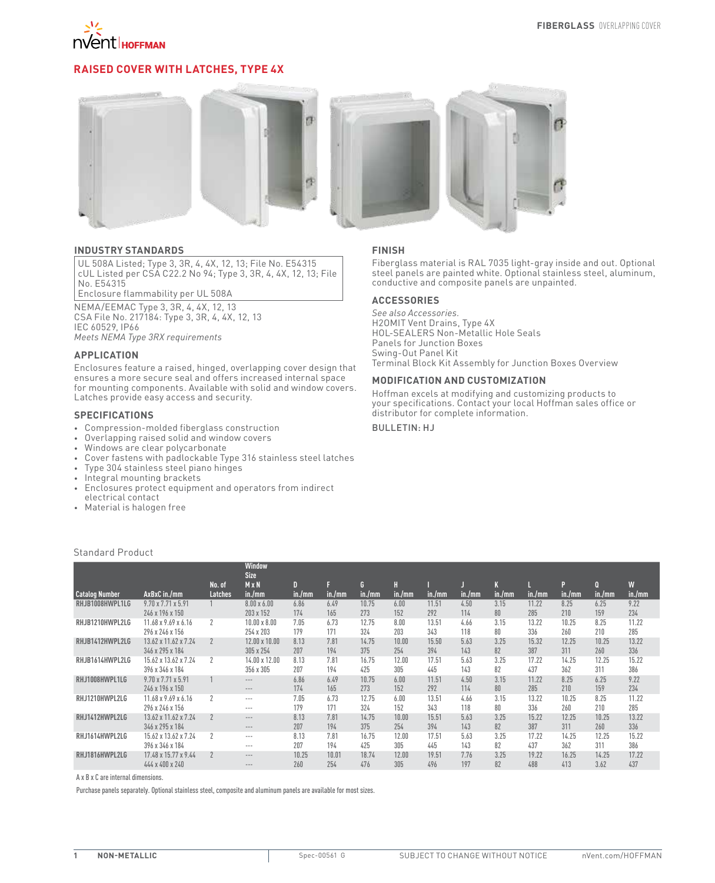

# **Raised Cover with Latches, Type 4X**



### **INDUSTRY STANDARDS**

UL 508A Listed; Type 3, 3R, 4, 4X, 12, 13; File No. E54315 cUL Listed per CSA C22.2 No 94; Type 3, 3R, 4, 4X, 12, 13; File No. E54315

Enclosure flammability per UL 508A

NEMA/EEMAC Type 3, 3R, 4, 4X, 12, 13 CSA File No. 217184: Type 3, 3R, 4, 4X, 12, 13 IEC 60529, IP66 *Meets NEMA Type 3RX requirements*

#### **APPLICATION**

Enclosures feature a raised, hinged, overlapping cover design that ensures a more secure seal and offers increased internal space for mounting components. Available with solid and window covers. Latches provide easy access and security.

### **SPECIFICATIONS**

- • Compression-molded fiberglass construction
- Overlapping raised solid and window covers
- Windows are clear polycarbonate
- Cover fastens with padlockable Type 316 stainless steel latches
- Type 304 stainless steel piano hinges
- Integral mounting brackets
- Enclosures protect equipment and operators from indirect electrical contact
- • Material is halogen free

Standard Product

### **FINISH**

Fiberglass material is RAL 7035 light-gray inside and out. Optional steel panels are painted white. Optional stainless steel, aluminum, conductive and composite panels are unpainted.

### **ACCESSORIES**

*See also Accessories.* H2OMIT Vent Drains, Type 4X HOL-SEALERS Non-Metallic Hole Seals Panels for Junction Boxes Swing-Out Panel Kit Terminal Block Kit Assembly for Junction Boxes Overview

#### **MODIFICATION AND CUSTOMIZATION**

Hoffman excels at modifying and customizing products to your specifications. Contact your local Hoffman sales office or distributor for complete information.

Bulletin: HJ

|                       |                                                   |                          | Window<br><b>Size</b>            |              |              |              |              |              |             |            |              |              |               |              |
|-----------------------|---------------------------------------------------|--------------------------|----------------------------------|--------------|--------------|--------------|--------------|--------------|-------------|------------|--------------|--------------|---------------|--------------|
| <b>Catalog Number</b> | AxBxC in./mm                                      | No. of<br><b>Latches</b> | $M \times N$<br>in./mm           | D<br>in./mm  | in./mm       | G<br>in./mm  | in./mm       | in./mm       | in./mm      | in./mm     | in./mm       | D<br>in./mm  | 0<br>in./mm   | W<br>in./mm  |
| RHJB1008HWPL1LG       | $9.70 \times 7.71 \times 5.91$<br>246 x 196 x 150 |                          | $8.00 \times 6.00$<br>203 x 152  | 6.86<br>174  | 6.49<br>165  | 10.75<br>273 | 6.00<br>152  | 11.51<br>292 | 4.50<br>114 | 3.15<br>80 | 11.22<br>285 | 8.25<br>210  | 6.25<br>159   | 9.22<br>234  |
| RHJB1210HWPL2LG       | 11.68 x 9.69 x 6.16<br>296 x 246 x 156            | $\mathcal{P}$            | $10.00 \times 8.00$<br>254 x 203 | 7.05<br>179  | 6.73<br>171  | 12.75<br>324 | 8.00<br>203  | 13.51<br>343 | 4.66<br>118 | 3.15<br>80 | 13.22<br>336 | 10.25<br>260 | 8.25<br>210   | 11.22<br>285 |
| RHJB1412HWPL2LG       | 13.62 x 11.62 x 7.24<br>346 x 295 x 184           |                          | 12.00 x 10.00<br>305 x 254       | 8.13<br>207  | 7.81<br>194  | 14.75<br>375 | 10.00<br>254 | 15.50<br>394 | 5.63<br>143 | 3.25<br>82 | 15.32<br>387 | 12.25<br>311 | 10.25<br>260  | 13.22<br>336 |
| RHJB1614HWPL2LG       | 15.62 x 13.62 x 7.24<br>396 x 346 x 184           | $\gamma$                 | 14.00 x 12.00<br>356 x 305       | 8.13<br>207  | 7.81<br>194  | 16.75<br>425 | 12.00<br>305 | 17.51<br>445 | 5.63<br>143 | 3.25<br>82 | 17.22<br>437 | 14.25<br>362 | 12.25<br>311  | 15.22<br>386 |
| RHJ1008HWPL1LG        | 9.70 x 7.71 x 5.91<br>246 x 196 x 150             |                          | $- - -$<br>$---$                 | 6.86<br>174  | 6.49<br>165  | 10.75<br>273 | 6.00<br>152  | 11.51<br>292 | 4.50<br>114 | 3.15<br>80 | 11.22<br>285 | 8.25<br>210  | 6.25<br>159   | 9.22<br>234  |
| RHJ1210HWPL2LG        | 11.68 x 9.69 x 6.16<br>296 x 246 x 156            | $\overline{2}$           | $- - -$<br>$---$                 | 7.05<br>179  | 6.73<br>171  | 12.75<br>324 | 6.00<br>152  | 13.51<br>343 | 4.66<br>118 | 3.15<br>80 | 13.22<br>336 | 10.25<br>260 | 8.25<br>210   | 11.22<br>285 |
| RHJ1412HWPL2LG        | 13.62 x 11.62 x 7.24<br>346 x 295 x 184           |                          | $---$<br>$---$                   | 8.13<br>207  | 7.81<br>194  | 14.75<br>375 | 10.00<br>254 | 15.51<br>394 | 5.63<br>143 | 3.25<br>82 | 15.22<br>387 | 12.25<br>311 | 10.25<br>260  | 13.22<br>336 |
| RHJ1614HWPL2LG        | 15.62 x 13.62 x 7.24<br>396 x 346 x 184           | $\overline{\phantom{a}}$ | $--$<br>$- - -$                  | 8.13<br>207  | 7.81<br>194  | 16.75<br>425 | 12.00<br>305 | 17.51<br>445 | 5.63<br>143 | 3.25<br>82 | 17.22<br>437 | 14.25<br>362 | 12.25<br>311  | 15.22<br>386 |
| RHJ1816HWPL2LG        | 17.48 x 15.77 x 9.44<br>444 x 400 x 240           | $\overline{2}$           | $- - -$<br>$---$                 | 10.25<br>260 | 10.01<br>254 | 18.74<br>476 | 12.00<br>305 | 19.51<br>496 | 7.76<br>197 | 3.25<br>82 | 19.22<br>488 | 16.25<br>413 | 14.25<br>3.62 | 17.22<br>437 |

A x B x C are internal dimensions.

Purchase panels separately. Optional stainless steel, composite and aluminum panels are available for most sizes.